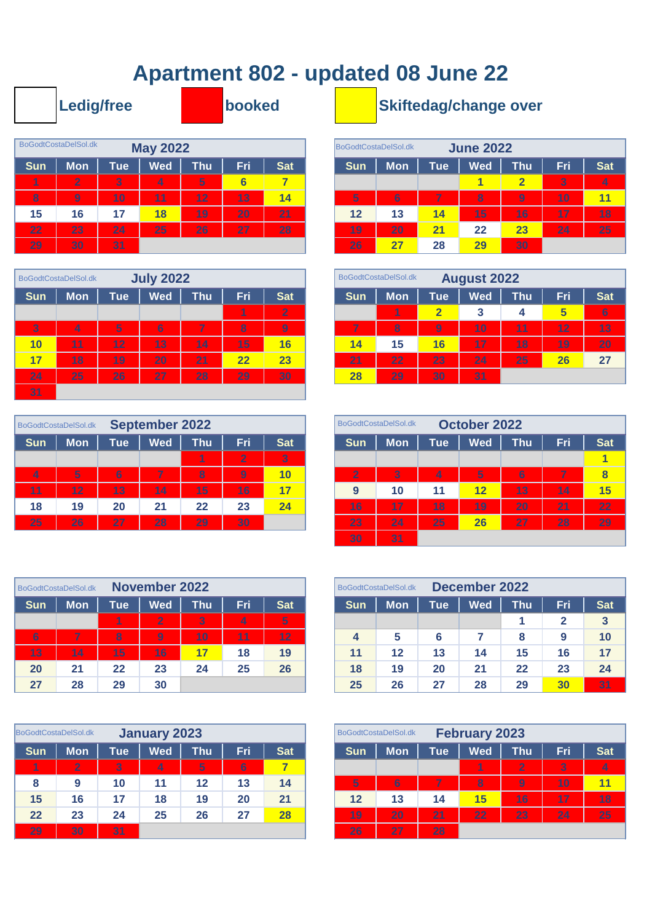## **Apartment 802 - updated 08 June 22**

|            | <b>Ledig/free</b>    |     |                 |     | booked          |            |                      |            |            | <b>Skiftedag/change ov</b> |                |
|------------|----------------------|-----|-----------------|-----|-----------------|------------|----------------------|------------|------------|----------------------------|----------------|
|            | BoGodtCostaDelSol.dk |     | <b>May 2022</b> |     |                 |            | BoGodtCostaDelSol.dk |            |            | <b>June 2022</b>           |                |
| <b>Sun</b> | <b>Mon</b>           | Tue | <b>Wed</b>      | Thu | <b>Fri</b>      | <b>Sat</b> | <b>Sun</b>           | <b>Mon</b> | <b>Tue</b> | <b>Wed</b>                 | Th             |
|            | $\overline{2}$       | 3   | 4               | 5   | $6\phantom{1}6$ | 7          |                      |            |            | 4                          | $\overline{2}$ |
| 8          | 9                    | 10  | 11              | 12  | 13              | 14         | 5                    | 6          | 7          | 8                          | $\overline{9}$ |
| 15         | 16                   | 17  | 18              | 19  | 20              | 21         | 12                   | 13         | 14         | 15                         | 16             |
| 22         | 23                   | 24  | 25              | 26  | 27              | 28         | 19                   | 20         | 21         | 22                         | 23             |
| 29         | 30                   | 31  |                 |     |                 |            | 26                   | 27         | 28         | 29                         | 30             |

|            | BoGodtCostaDelSol.dk |     | <b>July 2022</b> |     |     |              |            | BoGodtCostaDelSol.dk |                         | <b>August</b> |
|------------|----------------------|-----|------------------|-----|-----|--------------|------------|----------------------|-------------------------|---------------|
| <b>Sun</b> | <b>Mon</b>           | Tue | <b>Wed</b>       | Thu | Fri | <b>Sat</b>   | <b>Sun</b> | <b>Mon</b>           | <b>Tue</b>              | <b>We</b>     |
|            |                      |     |                  |     | 1   | $\mathbf{Z}$ |            | 1                    | $\overline{\mathbf{2}}$ | 3             |
| 3          | 4                    | 5   | 6                | 7   | 8   | 9            | 7          | 8                    | 9                       | 10            |
| 10         | 11                   | 12  | 13               | 14  | 15  | 16           | 14         | 15                   | 16                      | 17            |
| 17         | 18                   | 19  | 20               | 21  | 22  | 23           | 21         | 22                   | 23                      | 24            |
| 24         | 25                   | 26  | 27               | 28  | 29  | 30           | <b>28</b>  | 29                   | 30                      | 31            |
| 31         |                      |     |                  |     |     |              |            |                      |                         |               |

|            | BoGodtCostaDelSol.dk |                  | <b>September 2022</b> |     |                |                |                | BoGodtCostaDelSol.dk |            | <b>October 2022</b> |                         |
|------------|----------------------|------------------|-----------------------|-----|----------------|----------------|----------------|----------------------|------------|---------------------|-------------------------|
| <b>Sun</b> | <b>Mon</b>           | Tue <sup>1</sup> | Wed                   | Thu | Fri.           | <b>Sat</b>     | <b>Sun</b>     | <b>Mon</b>           | <b>Tue</b> | <b>Wed</b>          | т                       |
|            |                      |                  |                       |     | $\overline{2}$ | 3 <sup>1</sup> |                |                      |            |                     |                         |
| 4          | 5                    | 6                | 7                     | 8   | $\overline{9}$ | 10             | $\overline{2}$ | 3                    | 4          | 5                   |                         |
| 11         | 12                   | 13               | 14                    | 15  | 16             | 17             | 9              | 10                   | 11         | 12                  |                         |
| 18         | 19                   | 20               | 21                    | 22  | 23             | 24             | 16'            | 17                   | 18         | 19                  | $\overline{2}$          |
| 25         | 26                   | 27               | 28                    | 29  | 30             |                | 23             | 24                   | 25         | 26                  | $\overline{\mathbf{2}}$ |

|            | BoGodtCostaDelSol.dk |     | <b>November 2022</b> |            |     |                |            | BoGodtCostaDelSol.dk |            | <b>December 2022</b> |     |     |  |
|------------|----------------------|-----|----------------------|------------|-----|----------------|------------|----------------------|------------|----------------------|-----|-----|--|
| <b>Sun</b> | <b>Mon</b>           | Tue | <b>Wed</b>           | <b>Thu</b> | Fri | <b>Sat</b>     | <b>Sun</b> | Mon                  | <b>Tue</b> | <b>Wed</b>           | Thu | Fri |  |
|            |                      | 1   | $\overline{2}$       | 3          | 4   | 5 <sup>5</sup> |            |                      |            |                      |     |     |  |
|            | 7                    | 8   | 9                    | 10         | 11  | 12             | 4          | 5                    |            |                      | 8   | 9   |  |
| 14         |                      | 15  | 16                   |            | 18  | 19             | 11         | 12                   | 13         | 14                   | 15  | 16  |  |
| 21         |                      | 22  | 23                   | 24         | 25  | 26             | 18         | 19                   | 20         | 21                   | 22  | 23  |  |
| 28         |                      | 29  | 30                   |            |     |                | 25         | 26                   | 27         | 28                   | 29  | 30  |  |

|            | BoGodtCostaDelSol.dk |            | January 2023 |     |                |            |            | BoGodtCostaDelSol.dk |    |
|------------|----------------------|------------|--------------|-----|----------------|------------|------------|----------------------|----|
| <b>Sun</b> | <b>Mon</b>           | <b>Tue</b> | <b>Wed</b>   | Thu | Fri            | <b>Sat</b> | <b>Sun</b> | <b>Mon</b>           | Tu |
| 1          | $\overline{2}$       | $\bf{3}$   | 4            | 5   | $6\phantom{1}$ |            |            |                      |    |
| 8          | 9                    | 10         | 11           | 12  | 13             | 14         | 5,         | 6                    | 7  |
| 15         | 16                   | 17         | 18           | 19  | 20             | 21         | 12         | 13                   | 14 |
| 22         | 23                   | 24         | 25           | 26  | 27             | 28         | 19         | 20                   | 21 |
| 29         | 30                   | 31         |              |     |                |            | 26         | 27                   | 28 |

## **Skiftedag/change over**

|                         | <b>oGodtCostaDelSol.dk</b> |            | <b>May 2022</b> |     |                 |            |            | BoGodtCostaDelSol.dk |            | <b>June 2022</b> |                         |     |            |
|-------------------------|----------------------------|------------|-----------------|-----|-----------------|------------|------------|----------------------|------------|------------------|-------------------------|-----|------------|
| Sun                     | <b>Mon</b>                 | <b>Tue</b> | Wed             | Thu | Fri             | <b>Sat</b> | <b>Sun</b> | <b>Mon</b>           | <b>Tue</b> | <b>Wed</b>       | Thu                     | Fri | <b>Sat</b> |
| $\blacktriangleleft$    | $\overline{2}$             | 3          | 4               | 5   | $6\phantom{1}6$ | 7          |            |                      |            |                  | $\overline{\mathbf{2}}$ | 3   | 4          |
| $\overline{\mathbf{8}}$ | 9                          | 10         | 11              | 12  | 13              | 14         | 5          | 6                    | 7          | 8                | $\overline{9}$          | 10  | 11         |
| 15                      | 16                         | 17         | 18              | 19  | 20              | 21         | 12         | 13                   | 14         | 15               | 16                      | 17  | 18         |
| 22                      | 23                         | 24         | 25              | 26  | 27              | 28         | 19         | 20                   | 21         | 22               | 23                      | 24  | 25         |
| 29                      | 30                         | 31         |                 |     |                 |            | 26         | 27                   | 28         | 29               | 30                      |     |            |

|                 | GodtCostaDelSol.dk |            | <b>July 2022</b> |            |     |                |            | BoGodtCostaDelSol.dk |                  | <b>August 2022</b> |            |     |            |
|-----------------|--------------------|------------|------------------|------------|-----|----------------|------------|----------------------|------------------|--------------------|------------|-----|------------|
| Sun             | <b>Mon</b>         | <b>Tue</b> | Wed              | <b>Thu</b> | Fri | Sat            | <b>Sun</b> | Mon                  | Tue <sup>1</sup> | <b>Wed</b>         | <b>Thu</b> | Fri | <b>Sat</b> |
|                 |                    |            |                  |            | 1   | $\overline{2}$ |            | 1                    |                  | 3                  | 4          | R   | 6          |
| $\vert 3 \vert$ | 4                  | 5          | 6                | 7          | 8   | 9              | ⇁          | 8                    | 9                | 10                 | 11         | 12  | 13         |
| 10              | 11                 | 12         | 13               | 14         | 15  | 16             | 14         | 15                   | 16               | 17                 | 18         | 19  | 20         |
| 17              | 18                 | 19         | 20               | 21         | 22  | 23             | 21         | 22                   | 23               | 24                 | 25         | 26  | 27         |
| 24              | 25                 | 26         | 27               | 28         | 29  | 30             | 28         | 29                   | 30               | 31                 |            |     |            |

|                | GodtCostaDelSol.dk |                  | <b>September 2022</b> |     |                |            |
|----------------|--------------------|------------------|-----------------------|-----|----------------|------------|
| Sun            | <b>Mon</b>         | Tue <sup>1</sup> | <b>Wed</b>            | Thu | Fri,           | <b>Sat</b> |
|                |                    |                  |                       | 1   | $\overline{2}$ | 3          |
| $\overline{4}$ | 5                  | 6                | 7                     | 8   | 9              | 10         |
| 11             | 12                 | 13               | 14                    | 15  | 16             | 17         |
| 18             | 19                 | 20               | 21                    | 22  | 23             | 24         |
| 25             | 26                 | 27               | 28                    | 29  | 30             |            |
|                |                    |                  |                       |     |                |            |

|     | <b>BodtCostaDelSol.dk</b> |                  | <b>November 2022</b> |     |     |                |
|-----|---------------------------|------------------|----------------------|-----|-----|----------------|
| նսո | <b>Mon</b>                | Tue <sup>1</sup> | <b>Wed</b>           | Thu | Fri | <b>Sat</b>     |
|     |                           | 1                | $\overline{2}$       | 3   | 4   | $\overline{5}$ |
| 6   | 7                         | 8                | 9                    | 10  | 11  | 12             |
| 13  | 14                        | 15               | 16                   | 17  | 18  | 19             |
| 20  | 21                        | 22               | 23                   | 24  | 25  | 26             |
|     | 28                        | 29               | 30                   |     |     |                |

|                      | GodtCostaDelSol.dk |            | January 2023 |                  |     |                         |            | BoGodtCostaDelSol.dk |                  | <b>February 2023</b> |                |                |            |
|----------------------|--------------------|------------|--------------|------------------|-----|-------------------------|------------|----------------------|------------------|----------------------|----------------|----------------|------------|
| Sun                  | <b>Mon</b>         | <b>Tue</b> | <b>Wed</b>   | $\mathsf{Thu}^!$ | Fri | Sat                     | <b>Sun</b> | <b>Mon</b>           | Tue <sup>1</sup> | <b>Wed</b>           | <b>Thu</b>     | Fri            | <b>Sat</b> |
| $\blacktriangleleft$ | $\overline{2}$     | 3          | 4            | 5.               | 6   | $\overline{\mathbf{7}}$ |            |                      |                  |                      | $\overline{2}$ | $\overline{3}$ | 4          |
| 8                    | 9                  | 10         | 11           | 12               | 13  | 14                      | 5          | 6                    | 7                | 8                    | 9              | 10             | 11         |
| 15                   | 16                 | 17         | 18           | 19               | 20  | 21                      | 12         | 13                   | 14               | 15                   | 16             | 17             | 18         |
| 22                   | 23                 | 24         | 25           | 26               | 27  | 28                      | 19         | 20                   | 21               | 22                   | 23             | 24             | 25         |
| 29                   | 30                 | 31         |              |                  |     |                         | 26         | 27                   | 28               |                      |                |                |            |